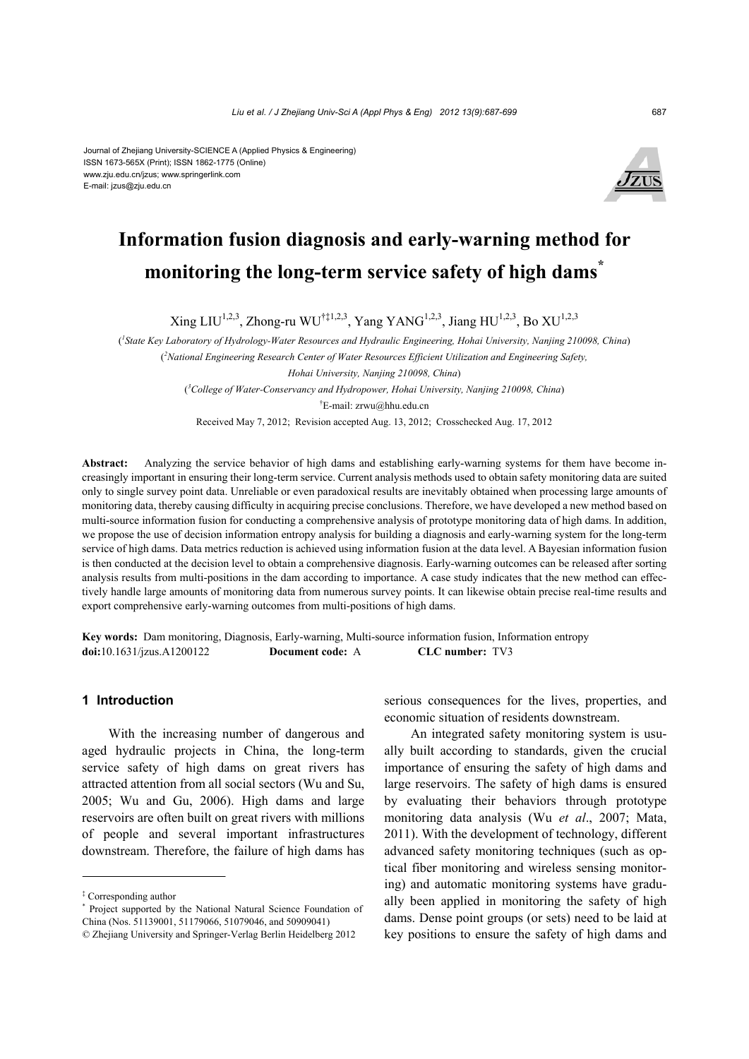#### Journal of Zhejiang University-SCIENCE A (Applied Physics & Engineering) ISSN 1673-565X (Print); ISSN 1862-1775 (Online) www.zju.edu.cn/jzus; www.springerlink.com E-mail: jzus@zju.edu.cn



# **Information fusion diagnosis and early-warning method for monitoring the long-term service safety of high dams\***

 $Xing LIU^{1,2,3}, Zhong-ru WU^{\dagger\ddagger1,2,3}, Yang YANG^{1,2,3}, Jiang HU^{1,2,3}, Bo XU^{1,2,3},$ 

( *1 State Key Laboratory of Hydrology-Water Resources and Hydraulic Engineering, Hohai University, Nanjing 210098, China*) ( *2 National Engineering Research Center of Water Resources Efficient Utilization and Engineering Safety, Hohai University, Nanjing 210098, China*) ( *3 College of Water-Conservancy and Hydropower, Hohai University, Nanjing 210098, China*) † E-mail: zrwu@hhu.edu.cn

Received May 7, 2012; Revision accepted Aug. 13, 2012; Crosschecked Aug. 17, 2012

**Abstract:** Analyzing the service behavior of high dams and establishing early-warning systems for them have become increasingly important in ensuring their long-term service. Current analysis methods used to obtain safety monitoring data are suited only to single survey point data. Unreliable or even paradoxical results are inevitably obtained when processing large amounts of monitoring data, thereby causing difficulty in acquiring precise conclusions. Therefore, we have developed a new method based on multi-source information fusion for conducting a comprehensive analysis of prototype monitoring data of high dams. In addition, we propose the use of decision information entropy analysis for building a diagnosis and early-warning system for the long-term service of high dams. Data metrics reduction is achieved using information fusion at the data level. A Bayesian information fusion is then conducted at the decision level to obtain a comprehensive diagnosis. Early-warning outcomes can be released after sorting analysis results from multi-positions in the dam according to importance. A case study indicates that the new method can effectively handle large amounts of monitoring data from numerous survey points. It can likewise obtain precise real-time results and export comprehensive early-warning outcomes from multi-positions of high dams.

**Key words:** Dam monitoring, Diagnosis, Early-warning, Multi-source information fusion, Information entropy **doi:**10.1631/jzus.A1200122 **Document code:** A **CLC number:** TV3

# **1 Introduction**

With the increasing number of dangerous and aged hydraulic projects in China, the long-term service safety of high dams on great rivers has attracted attention from all social sectors (Wu and Su, 2005; Wu and Gu, 2006). High dams and large reservoirs are often built on great rivers with millions of people and several important infrastructures downstream. Therefore, the failure of high dams has

serious consequences for the lives, properties, and economic situation of residents downstream.

An integrated safety monitoring system is usually built according to standards, given the crucial importance of ensuring the safety of high dams and large reservoirs. The safety of high dams is ensured by evaluating their behaviors through prototype monitoring data analysis (Wu *et al*., 2007; Mata, 2011). With the development of technology, different advanced safety monitoring techniques (such as optical fiber monitoring and wireless sensing monitoring) and automatic monitoring systems have gradually been applied in monitoring the safety of high dams. Dense point groups (or sets) need to be laid at key positions to ensure the safety of high dams and

<sup>‡</sup> Corresponding author

<sup>\*</sup> Project supported by the National Natural Science Foundation of China (Nos. 51139001, 51179066, 51079046, and 50909041)

<sup>©</sup> Zhejiang University and Springer-Verlag Berlin Heidelberg 2012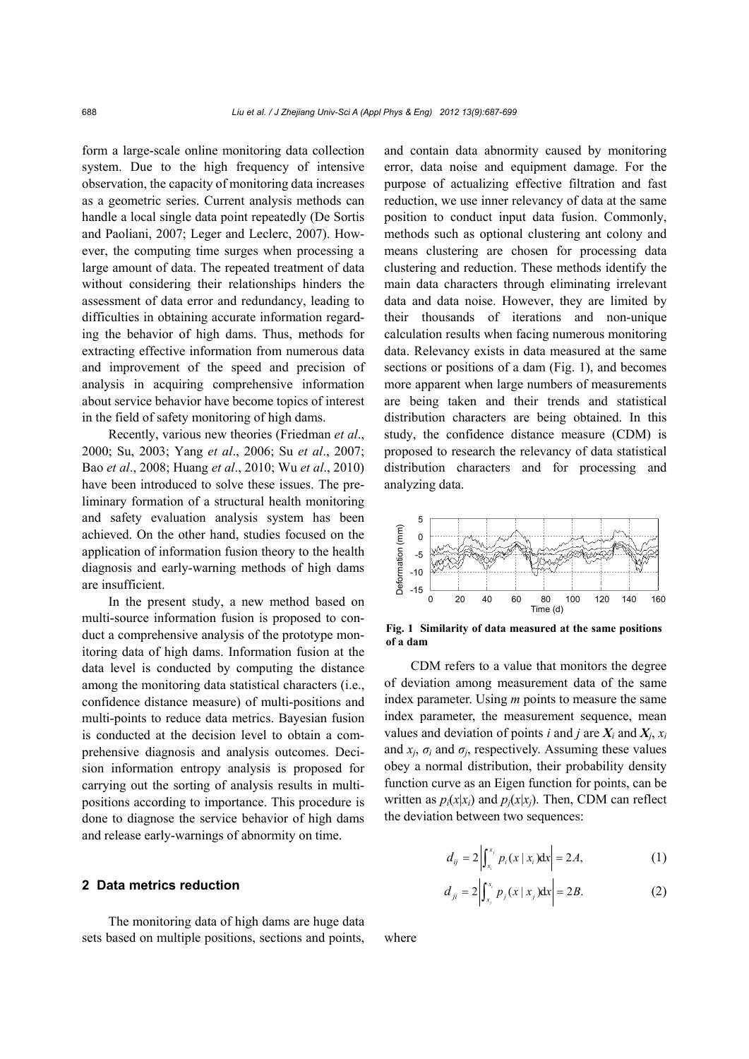form a large-scale online monitoring data collection system. Due to the high frequency of intensive observation, the capacity of monitoring data increases as a geometric series. Current analysis methods can handle a local single data point repeatedly (De Sortis and Paoliani, 2007; Leger and Leclerc, 2007). However, the computing time surges when processing a large amount of data. The repeated treatment of data without considering their relationships hinders the assessment of data error and redundancy, leading to difficulties in obtaining accurate information regarding the behavior of high dams. Thus, methods for extracting effective information from numerous data and improvement of the speed and precision of analysis in acquiring comprehensive information about service behavior have become topics of interest in the field of safety monitoring of high dams.

Recently, various new theories (Friedman *et al*., 2000; Su, 2003; Yang *et al*., 2006; Su *et al*., 2007; Bao *et al*., 2008; Huang *et al*., 2010; Wu *et al*., 2010) have been introduced to solve these issues. The preliminary formation of a structural health monitoring and safety evaluation analysis system has been achieved. On the other hand, studies focused on the application of information fusion theory to the health diagnosis and early-warning methods of high dams are insufficient.

In the present study, a new method based on multi-source information fusion is proposed to conduct a comprehensive analysis of the prototype monitoring data of high dams. Information fusion at the data level is conducted by computing the distance among the monitoring data statistical characters (i.e., confidence distance measure) of multi-positions and multi-points to reduce data metrics. Bayesian fusion is conducted at the decision level to obtain a comprehensive diagnosis and analysis outcomes. Decision information entropy analysis is proposed for carrying out the sorting of analysis results in multipositions according to importance. This procedure is done to diagnose the service behavior of high dams and release early-warnings of abnormity on time.

## **2 Data metrics reduction**

The monitoring data of high dams are huge data sets based on multiple positions, sections and points,

and contain data abnormity caused by monitoring error, data noise and equipment damage. For the purpose of actualizing effective filtration and fast reduction, we use inner relevancy of data at the same position to conduct input data fusion. Commonly, methods such as optional clustering ant colony and means clustering are chosen for processing data clustering and reduction. These methods identify the main data characters through eliminating irrelevant data and data noise. However, they are limited by their thousands of iterations and non-unique calculation results when facing numerous monitoring data. Relevancy exists in data measured at the same sections or positions of a dam (Fig. 1), and becomes more apparent when large numbers of measurements are being taken and their trends and statistical distribution characters are being obtained. In this study, the confidence distance measure (CDM) is proposed to research the relevancy of data statistical distribution characters and for processing and analyzing data.



**Fig. 1 Similarity of data measured at the same positions of a dam** 

CDM refers to a value that monitors the degree of deviation among measurement data of the same index parameter. Using *m* points to measure the same index parameter, the measurement sequence, mean values and deviation of points *i* and *j* are  $X_i$  and  $X_j$ ,  $x_i$ and  $x_i$ ,  $\sigma_i$  and  $\sigma_i$ , respectively. Assuming these values obey a normal distribution, their probability density function curve as an Eigen function for points, can be written as  $p_i(x|x_i)$  and  $p_i(x|x_i)$ . Then, CDM can reflect the deviation between two sequences:

$$
d_{ij} = 2 \left| \int_{x_i}^{x_j} p_i(x \mid x_i) dx \right| = 2A, \tag{1}
$$

$$
d_{ji} = 2 \left| \int_{x_j}^{x_i} p_j(x \mid x_j) dx \right| = 2B. \tag{2}
$$

where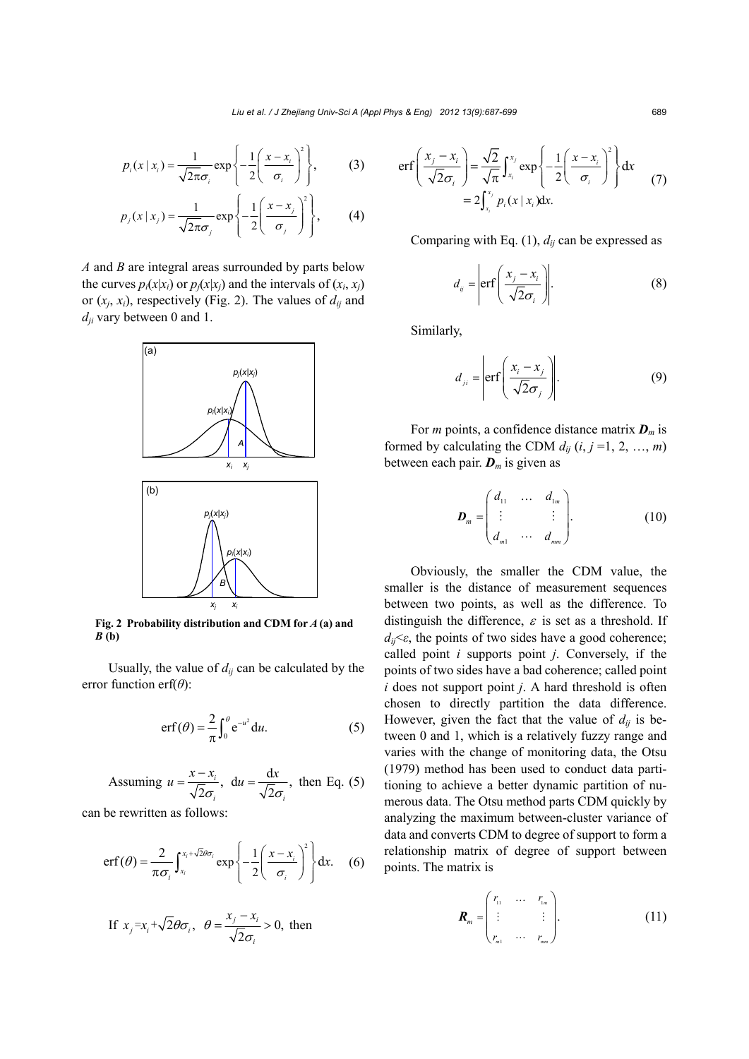$$
p_i(x \mid x_i) = \frac{1}{\sqrt{2\pi}\sigma_i} \exp\left\{-\frac{1}{2}\left(\frac{x - x_i}{\sigma_i}\right)^2\right\},\tag{3}
$$

$$
p_j(x \mid x_j) = \frac{1}{\sqrt{2\pi}\sigma_j} \exp\left\{-\frac{1}{2}\left(\frac{x - x_j}{\sigma_j}\right)^2\right\},\qquad(4)
$$

*A* and *B* are integral areas surrounded by parts below the curves  $p_i(x|x_i)$  or  $p_i(x|x_j)$  and the intervals of  $(x_i, x_j)$ or  $(x_i, x_i)$ , respectively (Fig. 2). The values of  $d_{ij}$  and *dji* vary between 0 and 1.



**Fig. 2 Probability distribution and CDM for** *A* **(a) and**  *B* **(b)**

Usually, the value of  $d_{ij}$  can be calculated by the error function erf(*θ*):

$$
\operatorname{erf}(\theta) = \frac{2}{\pi} \int_0^{\theta} e^{-u^2} du. \tag{5}
$$

Assuming 
$$
u = \frac{x - x_i}{\sqrt{2}\sigma_i}
$$
,  $du = \frac{dx}{\sqrt{2}\sigma_i}$ , then Eq. (5)

can be rewritten as follows:

$$
\mathrm{erf}(\theta) = \frac{2}{\pi \sigma_i} \int_{x_i}^{x_i + \sqrt{2} \theta \sigma_i} \exp \left\{-\frac{1}{2} \left( \frac{x - x_i}{\sigma_i} \right)^2 \right\} dx. \quad (6)
$$

If 
$$
x_j = x_i + \sqrt{2}\theta \sigma_i
$$
,  $\theta = \frac{x_j - x_i}{\sqrt{2}\sigma_i} > 0$ , then

$$
\text{erf}\left(\frac{x_j - x_i}{\sqrt{2}\sigma_i}\right) = \frac{\sqrt{2}}{\sqrt{\pi}} \int_{x_i}^{x_j} \exp\left\{-\frac{1}{2}\left(\frac{x - x_i}{\sigma_i}\right)^2\right\} dx
$$
  
=  $2 \int_{x_i}^{x_j} p_i(x \mid x_i) dx.$  (7)

Comparing with Eq.  $(1)$ ,  $d_{ij}$  can be expressed as

$$
d_{ij} = \left| \text{erf}\left(\frac{x_j - x_i}{\sqrt{2}\sigma_i}\right) \right| \tag{8}
$$

Similarly,

$$
d_{ji} = \left| \text{erf}\left(\frac{x_i - x_j}{\sqrt{2}\sigma_j}\right) \right| \tag{9}
$$

For *m* points, a confidence distance matrix *Dm* is formed by calculating the CDM  $d_{ij}$  ( $i, j = 1, 2, ..., m$ ) between each pair.  $D_m$  is given as

$$
\boldsymbol{D}_m = \begin{pmatrix} d_{11} & \dots & d_{1m} \\ \vdots & & \vdots \\ d_{m1} & \dots & d_{mn} \end{pmatrix} . \tag{10}
$$

Obviously, the smaller the CDM value, the smaller is the distance of measurement sequences between two points, as well as the difference. To distinguish the difference,  $\varepsilon$  is set as a threshold. If  $d_{ii} \leq \epsilon$ , the points of two sides have a good coherence; called point *i* supports point *j*. Conversely, if the points of two sides have a bad coherence; called point *i* does not support point *j*. A hard threshold is often chosen to directly partition the data difference. However, given the fact that the value of  $d_{ij}$  is between 0 and 1, which is a relatively fuzzy range and varies with the change of monitoring data, the Otsu (1979) method has been used to conduct data partitioning to achieve a better dynamic partition of numerous data. The Otsu method parts CDM quickly by analyzing the maximum between-cluster variance of data and converts CDM to degree of support to form a relationship matrix of degree of support between points. The matrix is

$$
\boldsymbol{R}_{m} = \begin{pmatrix} r_{11} & \cdots & r_{1m} \\ \vdots & & \vdots \\ r_{m1} & \cdots & r_{mn} \end{pmatrix} . \tag{11}
$$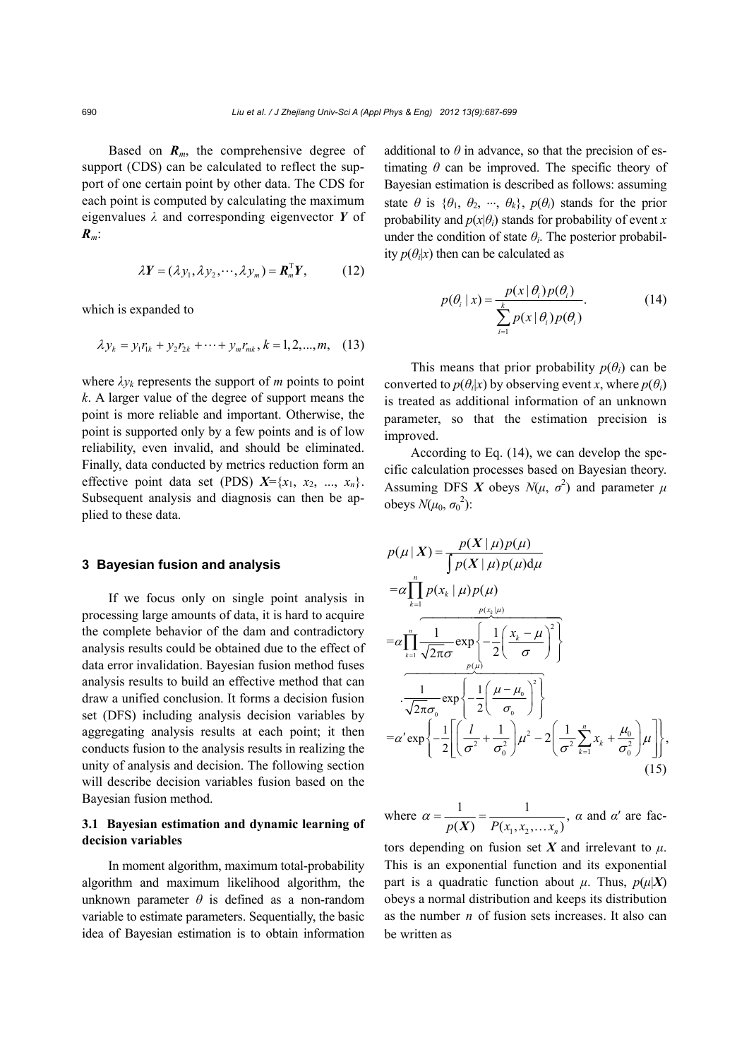Based on  $R_m$ , the comprehensive degree of support (CDS) can be calculated to reflect the support of one certain point by other data. The CDS for each point is computed by calculating the maximum eigenvalues *λ* and corresponding eigenvector *Y* of *Rm*:

$$
\lambda \mathbf{Y} = (\lambda y_1, \lambda y_2, \cdots, \lambda y_m) = \mathbf{R}_m^{\mathrm{T}} \mathbf{Y}, \qquad (12)
$$

which is expanded to

$$
\lambda y_k = y_1 r_{1k} + y_2 r_{2k} + \dots + y_m r_{mk}, k = 1, 2, \dots, m, \quad (13)
$$

where  $\lambda y_k$  represents the support of *m* points to point *k*. A larger value of the degree of support means the point is more reliable and important. Otherwise, the point is supported only by a few points and is of low reliability, even invalid, and should be eliminated. Finally, data conducted by metrics reduction form an effective point data set (PDS)  $X = \{x_1, x_2, ..., x_n\}$ . Subsequent analysis and diagnosis can then be applied to these data.

## **3 Bayesian fusion and analysis**

If we focus only on single point analysis in processing large amounts of data, it is hard to acquire the complete behavior of the dam and contradictory analysis results could be obtained due to the effect of data error invalidation. Bayesian fusion method fuses analysis results to build an effective method that can draw a unified conclusion. It forms a decision fusion set (DFS) including analysis decision variables by aggregating analysis results at each point; it then conducts fusion to the analysis results in realizing the unity of analysis and decision. The following section will describe decision variables fusion based on the Bayesian fusion method.

# **3.1 Bayesian estimation and dynamic learning of decision variables**

In moment algorithm, maximum total-probability algorithm and maximum likelihood algorithm, the unknown parameter  $\theta$  is defined as a non-random variable to estimate parameters. Sequentially, the basic idea of Bayesian estimation is to obtain information additional to  $\theta$  in advance, so that the precision of estimating  $\theta$  can be improved. The specific theory of Bayesian estimation is described as follows: assuming state  $\theta$  is  $\{\theta_1, \theta_2, \dots, \theta_k\}$ ,  $p(\theta_i)$  stands for the prior probability and  $p(x|\theta)$  stands for probability of event *x* under the condition of state  $\theta_i$ . The posterior probability  $p(\theta_i|x)$  then can be calculated as

$$
p(\theta_i \mid x) = \frac{p(x \mid \theta_i) p(\theta_i)}{\sum_{i=1}^{k} p(x \mid \theta_i) p(\theta_i)}.
$$
 (14)

This means that prior probability  $p(\theta_i)$  can be converted to  $p(\theta_i|x)$  by observing event *x*, where  $p(\theta_i)$ is treated as additional information of an unknown parameter, so that the estimation precision is improved.

According to Eq. (14), we can develop the specific calculation processes based on Bayesian theory. Assuming DFS *X* obeys  $N(\mu, \sigma^2)$  and parameter  $\mu$ obeys  $N(\mu_0, \sigma_0^2)$ :

$$
p(\mu | X) = \frac{p(X | \mu)p(\mu)}{\int p(X | \mu)p(\mu)d\mu}
$$
  
\n
$$
= \alpha \prod_{k=1}^{n} p(x_k | \mu)p(\mu)
$$
  
\n
$$
= \alpha \prod_{k=1}^{n} \frac{1}{\sqrt{2\pi}\sigma} \exp \left\{-\frac{1}{2} \left(\frac{x_k - \mu}{\sigma}\right)^2\right\}
$$
  
\n
$$
\frac{1}{\sqrt{2\pi}\sigma_0} \exp \left\{-\frac{1}{2} \left(\frac{\mu - \mu_0}{\sigma_0}\right)^2\right\}
$$
  
\n
$$
= \alpha' \exp \left\{-\frac{1}{2} \left[\left(\frac{l}{\sigma^2} + \frac{1}{\sigma_0^2}\right) \mu^2 - 2 \left(\frac{1}{\sigma^2} \sum_{k=1}^{n} x_k + \frac{\mu_0}{\sigma_0^2}\right) \mu\right]\right\},
$$
\n(15)

where  $\alpha = \frac{1}{p(X)} = \frac{1}{P(x_1, x_2, \dots, x_n)}$ ,  $\alpha$  and  $\alpha'$  are fac-

tors depending on fusion set *X* and irrelevant to *μ*. This is an exponential function and its exponential part is a quadratic function about  $\mu$ . Thus,  $p(\mu|X)$ obeys a normal distribution and keeps its distribution as the number *n* of fusion sets increases. It also can be written as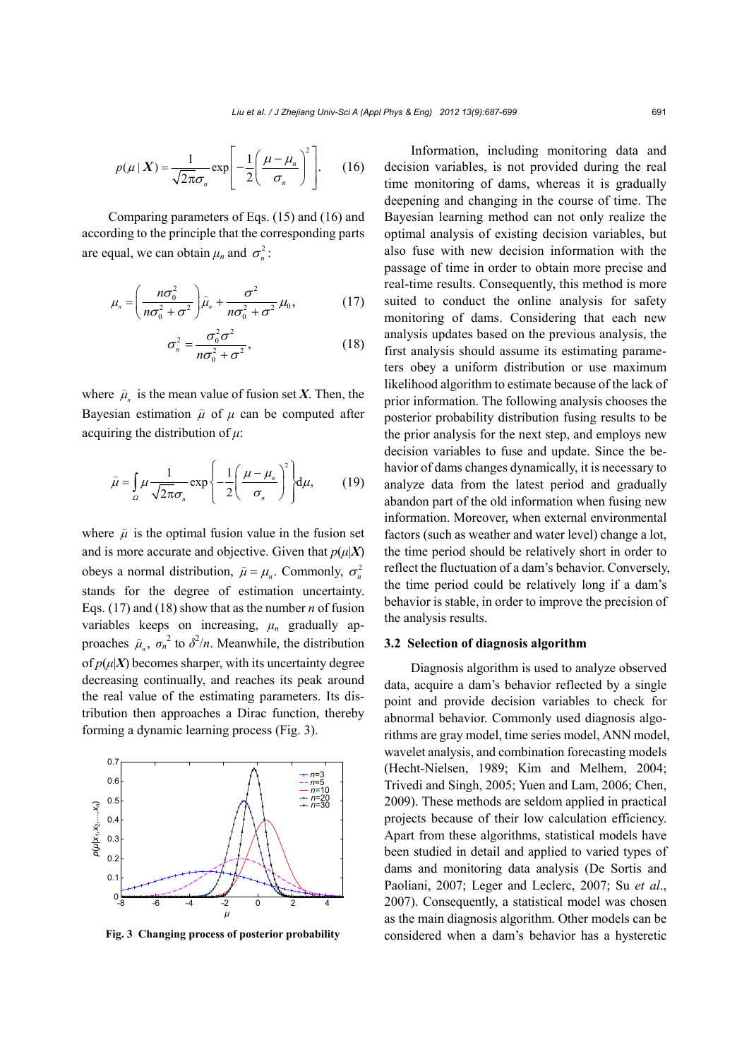$$
p(\mu \mid \boldsymbol{X}) = \frac{1}{\sqrt{2\pi}\sigma_n} \exp\left[-\frac{1}{2}\left(\frac{\mu - \mu_n}{\sigma_n}\right)^2\right].
$$
 (16)

Comparing parameters of Eqs. (15) and (16) and according to the principle that the corresponding parts are equal, we can obtain  $\mu_n$  and  $\sigma_n^2$ :

$$
\mu_n = \left(\frac{n\sigma_0^2}{n\sigma_0^2 + \sigma^2}\right)\hat{\mu}_n + \frac{\sigma^2}{n\sigma_0^2 + \sigma^2}\mu_0, \tag{17}
$$

$$
\sigma_n^2 = \frac{\sigma_0^2 \sigma^2}{n \sigma_0^2 + \sigma^2},\tag{18}
$$

where  $\hat{\mu}_n$  is the mean value of fusion set *X*. Then, the Bayesian estimation  $\hat{\mu}$  of  $\mu$  can be computed after acquiring the distribution of *μ*:

$$
\hat{\mu} = \int_{\Omega} \mu \frac{1}{\sqrt{2\pi}\sigma_n} \exp\left\{-\frac{1}{2} \left(\frac{\mu - \mu_n}{\sigma_n}\right)^2\right\} d\mu, \qquad (19)
$$

where  $\hat{\mu}$  is the optimal fusion value in the fusion set and is more accurate and objective. Given that  $p(\mu|X)$ obeys a normal distribution,  $\hat{\mu} = \mu_n$ . Commonly,  $\sigma_n^2$ stands for the degree of estimation uncertainty. Eqs. (17) and (18) show that as the number *n* of fusion variables keeps on increasing,  $\mu_n$  gradually approaches  $\hat{\mu}_n$ ,  $\sigma_n^2$  to  $\delta^2/n$ . Meanwhile, the distribution of  $p(\mu|X)$  becomes sharper, with its uncertainty degree decreasing continually, and reaches its peak around the real value of the estimating parameters. Its distribution then approaches a Dirac function, thereby forming a dynamic learning process (Fig. 3).



**Fig. 3 Changing process of posterior probability**

Information, including monitoring data and decision variables, is not provided during the real time monitoring of dams, whereas it is gradually deepening and changing in the course of time. The Bayesian learning method can not only realize the optimal analysis of existing decision variables, but also fuse with new decision information with the passage of time in order to obtain more precise and real-time results. Consequently, this method is more suited to conduct the online analysis for safety monitoring of dams. Considering that each new analysis updates based on the previous analysis, the first analysis should assume its estimating parameters obey a uniform distribution or use maximum likelihood algorithm to estimate because of the lack of prior information. The following analysis chooses the posterior probability distribution fusing results to be the prior analysis for the next step, and employs new decision variables to fuse and update. Since the behavior of dams changes dynamically, it is necessary to analyze data from the latest period and gradually abandon part of the old information when fusing new information. Moreover, when external environmental factors (such as weather and water level) change a lot, the time period should be relatively short in order to reflect the fluctuation of a dam's behavior. Conversely, the time period could be relatively long if a dam's behavior is stable, in order to improve the precision of the analysis results.

## **3.2 Selection of diagnosis algorithm**

Diagnosis algorithm is used to analyze observed data, acquire a dam's behavior reflected by a single point and provide decision variables to check for abnormal behavior. Commonly used diagnosis algorithms are gray model, time series model, ANN model, wavelet analysis, and combination forecasting models (Hecht-Nielsen, 1989; Kim and Melhem, 2004; Trivedi and Singh, 2005; Yuen and Lam, 2006; Chen, 2009). These methods are seldom applied in practical projects because of their low calculation efficiency. Apart from these algorithms, statistical models have been studied in detail and applied to varied types of dams and monitoring data analysis (De Sortis and Paoliani, 2007; Leger and Leclerc, 2007; Su *et al*., 2007). Consequently, a statistical model was chosen as the main diagnosis algorithm. Other models can be considered when a dam's behavior has a hysteretic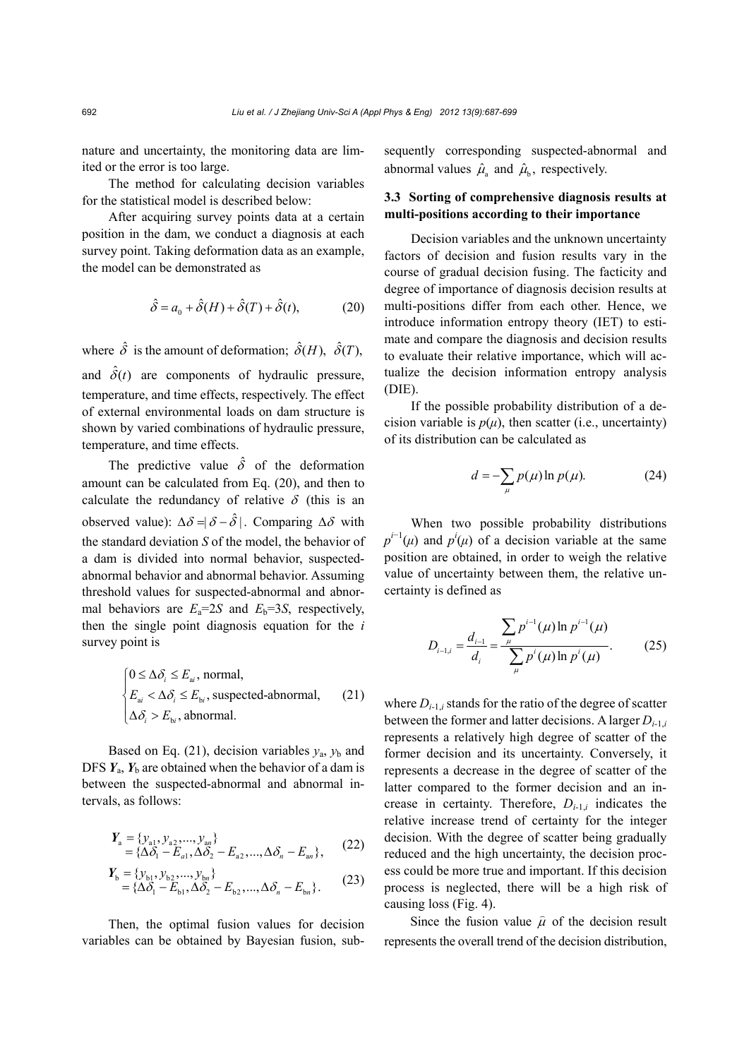nature and uncertainty, the monitoring data are limited or the error is too large.

The method for calculating decision variables for the statistical model is described below:

After acquiring survey points data at a certain position in the dam, we conduct a diagnosis at each survey point. Taking deformation data as an example, the model can be demonstrated as

$$
\hat{\delta} = a_0 + \hat{\delta}(H) + \hat{\delta}(T) + \hat{\delta}(t),\tag{20}
$$

where  $\hat{\delta}$  is the amount of deformation;  $\hat{\delta}(H)$ ,  $\hat{\delta}(T)$ , and  $\hat{\delta}(t)$  are components of hydraulic pressure, temperature, and time effects, respectively. The effect of external environmental loads on dam structure is shown by varied combinations of hydraulic pressure, temperature, and time effects.

The predictive value  $\hat{\delta}$  of the deformation amount can be calculated from Eq. (20), and then to calculate the redundancy of relative  $\delta$  (this is an observed value):  $\Delta \delta = |\delta - \hat{\delta}|$ . Comparing  $\Delta \delta$  with the standard deviation *S* of the model, the behavior of a dam is divided into normal behavior, suspectedabnormal behavior and abnormal behavior. Assuming threshold values for suspected-abnormal and abnormal behaviors are  $E_a = 2S$  and  $E_b = 3S$ , respectively, then the single point diagnosis equation for the *i* survey point is

$$
\begin{cases}\n0 \le \Delta \delta_i \le E_{ai}, \text{normal}, \\
E_{ai} < \Delta \delta_i \le E_{bi}, \text{ suspected-abnormal}, \\
\Delta \delta_i > E_{bi}, \text{abnormal}.\n\end{cases} \tag{21}
$$

Based on Eq. (21), decision variables  $y_a$ ,  $y_b$  and DFS  $Y_a$ ,  $Y_b$  are obtained when the behavior of a dam is between the suspected-abnormal and abnormal intervals, as follows:

$$
Y_{\rm a} = \{y_{\rm a1}, y_{\rm a2}, ..., y_{\rm an}\}\n= \{\Delta \delta_1 - E_{a1}, \Delta \delta_2 - E_{a2}, ..., \Delta \delta_n - E_{\rm an}\},
$$
\n(22)

$$
Y_{b} = \{y_{b1}, y_{b2}, ..., y_{bn}\}\
$$
  
= { $\Delta \delta_1 - E_{b1}, \Delta \delta_2 - E_{b2}, ..., \Delta \delta_n - E_{bn}\}$ . (23)

Then, the optimal fusion values for decision variables can be obtained by Bayesian fusion, subsequently corresponding suspected-abnormal and abnormal values  $\hat{\mu}_a$  and  $\hat{\mu}_b$ , respectively.

## **3.3 Sorting of comprehensive diagnosis results at multi-positions according to their importance**

Decision variables and the unknown uncertainty factors of decision and fusion results vary in the course of gradual decision fusing. The facticity and degree of importance of diagnosis decision results at multi-positions differ from each other. Hence, we introduce information entropy theory (IET) to estimate and compare the diagnosis and decision results to evaluate their relative importance, which will actualize the decision information entropy analysis (DIE).

If the possible probability distribution of a decision variable is  $p(\mu)$ , then scatter (i.e., uncertainty) of its distribution can be calculated as

$$
d = -\sum_{\mu} p(\mu) \ln p(\mu). \tag{24}
$$

When two possible probability distributions  $p^{i-1}(\mu)$  and  $p^i(\mu)$  of a decision variable at the same position are obtained, in order to weigh the relative value of uncertainty between them, the relative uncertainty is defined as

$$
D_{i-1,i} = \frac{d_{i-1}}{d_i} = \frac{\sum_{\mu} p^{i-1}(\mu) \ln p^{i-1}(\mu)}{\sum_{\mu} p^i(\mu) \ln p^i(\mu)}.
$$
 (25)

where  $D_{i-1,i}$  stands for the ratio of the degree of scatter between the former and latter decisions. A larger *Di*-1,*<sup>i</sup>* represents a relatively high degree of scatter of the former decision and its uncertainty. Conversely, it represents a decrease in the degree of scatter of the latter compared to the former decision and an increase in certainty. Therefore,  $D_{i-1,i}$  indicates the relative increase trend of certainty for the integer decision. With the degree of scatter being gradually reduced and the high uncertainty, the decision process could be more true and important. If this decision process is neglected, there will be a high risk of causing loss (Fig. 4).

Since the fusion value  $\hat{\mu}$  of the decision result represents the overall trend of the decision distribution,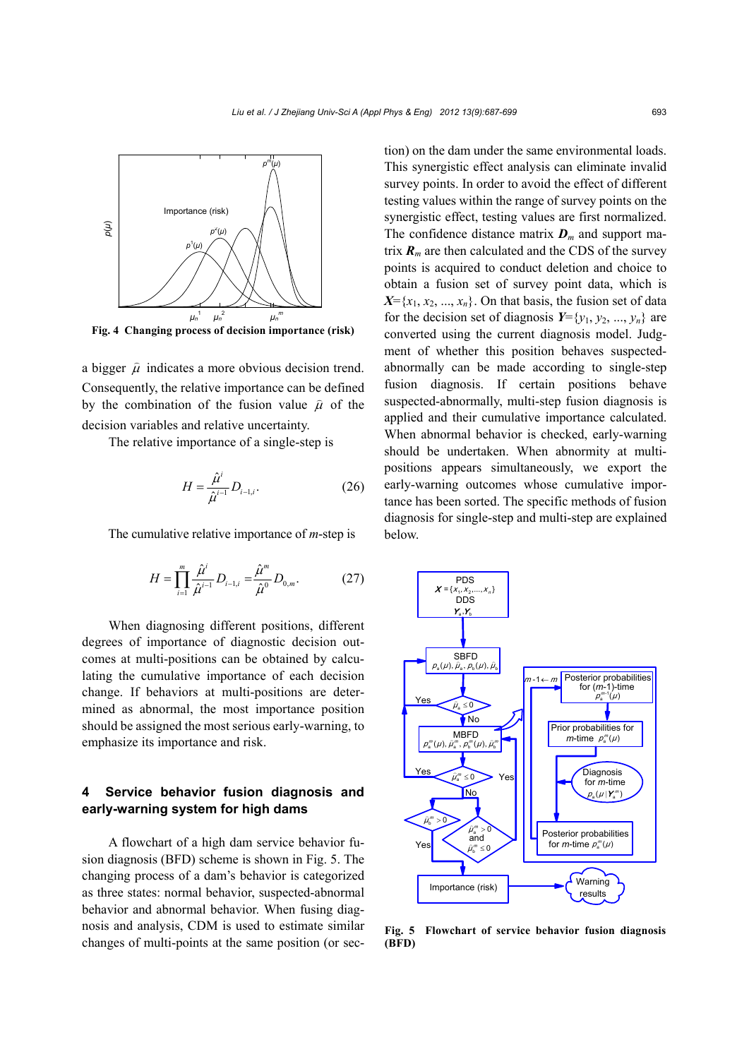

a bigger  $\hat{\mu}$  indicates a more obvious decision trend. Consequently, the relative importance can be defined by the combination of the fusion value  $\hat{\mu}$  of the decision variables and relative uncertainty.

The relative importance of a single-step is

$$
H = \frac{\hat{\mu}^i}{\hat{\mu}^{i-1}} D_{i-1,i}.
$$
 (26)

The cumulative relative importance of *m*-step is

$$
H = \prod_{i=1}^{m} \frac{\hat{\mu}^i}{\hat{\mu}^{i-1}} D_{i-1,i} = \frac{\hat{\mu}^m}{\hat{\mu}^0} D_{0,m}.
$$
 (27)

When diagnosing different positions, different degrees of importance of diagnostic decision outcomes at multi-positions can be obtained by calculating the cumulative importance of each decision change. If behaviors at multi-positions are determined as abnormal, the most importance position should be assigned the most serious early-warning, to emphasize its importance and risk.

# **4 Service behavior fusion diagnosis and early-warning system for high dams**

A flowchart of a high dam service behavior fusion diagnosis (BFD) scheme is shown in Fig. 5. The changing process of a dam's behavior is categorized as three states: normal behavior, suspected-abnormal behavior and abnormal behavior. When fusing diagnosis and analysis, CDM is used to estimate similar changes of multi-points at the same position (or section) on the dam under the same environmental loads. This synergistic effect analysis can eliminate invalid survey points. In order to avoid the effect of different testing values within the range of survey points on the synergistic effect, testing values are first normalized. The confidence distance matrix  $\boldsymbol{D}_m$  and support matrix  $\mathbf{R}_m$  are then calculated and the CDS of the survey points is acquired to conduct deletion and choice to obtain a fusion set of survey point data, which is  $X = \{x_1, x_2, ..., x_n\}$ . On that basis, the fusion set of data for the decision set of diagnosis  $Y = \{y_1, y_2, ..., y_n\}$  are converted using the current diagnosis model. Judgment of whether this position behaves suspectedabnormally can be made according to single-step fusion diagnosis. If certain positions behave suspected-abnormally, multi-step fusion diagnosis is applied and their cumulative importance calculated. When abnormal behavior is checked, early-warning should be undertaken. When abnormity at multipositions appears simultaneously, we export the early-warning outcomes whose cumulative importance has been sorted. The specific methods of fusion diagnosis for single-step and multi-step are explained below.



**Fig. 5 Flowchart of service behavior fusion diagnosis (BFD)**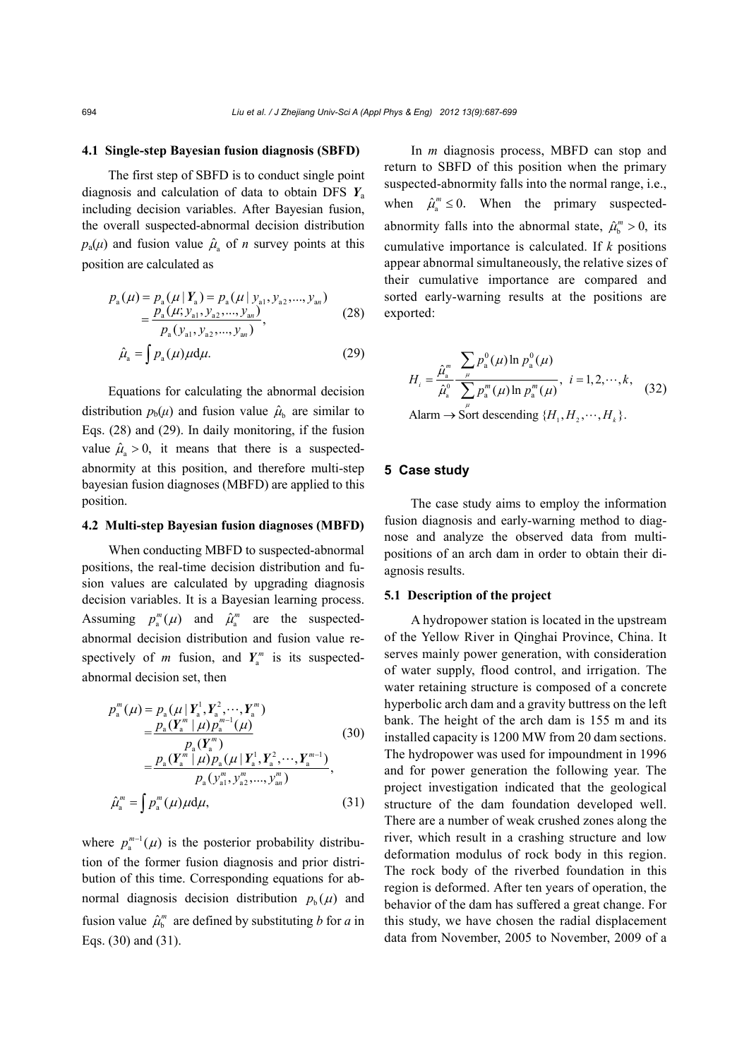#### **4.1 Single-step Bayesian fusion diagnosis (SBFD)**

The first step of SBFD is to conduct single point diagnosis and calculation of data to obtain DFS *Y*<sup>a</sup> including decision variables. After Bayesian fusion, the overall suspected-abnormal decision distribution  $p_a(\mu)$  and fusion value  $\hat{\mu}_a$  of *n* survey points at this position are calculated as

$$
p_{a}(\mu) = p_{a}(\mu | Y_{a}) = p_{a}(\mu | y_{a1}, y_{a2},..., y_{an})
$$
  
= 
$$
\frac{p_{a}(\mu; y_{a1}, y_{a2},..., y_{an})}{p_{a}(y_{a1}, y_{a2},..., y_{an})},
$$
 (28)

$$
\hat{\mu}_a = \int p_a(\mu)\mu d\mu. \tag{29}
$$

Equations for calculating the abnormal decision distribution  $p_b(\mu)$  and fusion value  $\hat{\mu}_b$  are similar to Eqs. (28) and (29). In daily monitoring, if the fusion value  $\hat{\mu}_s > 0$ , it means that there is a suspectedabnormity at this position, and therefore multi-step bayesian fusion diagnoses (MBFD) are applied to this position.

#### **4.2 Multi-step Bayesian fusion diagnoses (MBFD)**

When conducting MBFD to suspected-abnormal positions, the real-time decision distribution and fusion values are calculated by upgrading diagnosis decision variables. It is a Bayesian learning process. Assuming  $p_a^m(\mu)$  and  $\hat{\mu}_a^m$  are the suspectedabnormal decision distribution and fusion value respectively of *m* fusion, and  $Y_{a}^{m}$  is its suspectedabnormal decision set, then

$$
p_{a}^{m}(\mu) = p_{a}(\mu | Y_{a}^{1}, Y_{a}^{2}, \cdots, Y_{a}^{m})
$$
  
\n
$$
= \frac{p_{a}(Y_{a}^{m} | \mu) p_{a}^{m-1}(\mu)}{p_{a}(Y_{a}^{m})}
$$
  
\n
$$
= \frac{p_{a}(Y_{a}^{m} | \mu) p_{a}(\mu | Y_{a}^{1}, Y_{a}^{2}, \cdots, Y_{a}^{m-1})}{p_{a}(Y_{a1}^{m}, Y_{a2}^{m}, \cdots, Y_{an}^{m})},
$$
  
\n
$$
\hat{\mu}_{a}^{m} = \int p_{a}^{m}(\mu) \mu d\mu,
$$
\n(31)

where  $p_{a}^{m-1}(\mu)$  is the posterior probability distribution of the former fusion diagnosis and prior distribution of this time. Corresponding equations for abnormal diagnosis decision distribution  $p_b(\mu)$  and fusion value  $\hat{\mu}_h^m$  are defined by substituting *b* for *a* in Eqs. (30) and (31).

In *m* diagnosis process, MBFD can stop and return to SBFD of this position when the primary suspected-abnormity falls into the normal range, i.e., when  $\hat{\mu}_s^m \leq 0$ . When the primary suspectedabnormity falls into the abnormal state,  $\hat{\mu}_h^m > 0$ , its cumulative importance is calculated. If *k* positions appear abnormal simultaneously, the relative sizes of their cumulative importance are compared and sorted early-warning results at the positions are exported:

$$
H_{i} = \frac{\hat{\mu}_{a}^{m}}{\hat{\mu}_{a}^{0}} \frac{\sum_{\mu} p_{a}^{0}(\mu) \ln p_{a}^{0}(\mu)}{\sum_{a} p_{a}^{m}(\mu) \ln p_{a}^{m}(\mu)}, \quad i = 1, 2, \cdots, k,
$$
 (32)

Alarm  $\rightarrow$  Sort descending  $\{H_1, H_2, \cdots, H_k\}$ .

# **5 Case study**

The case study aims to employ the information fusion diagnosis and early-warning method to diagnose and analyze the observed data from multipositions of an arch dam in order to obtain their diagnosis results.

## **5.1 Description of the project**

A hydropower station is located in the upstream of the Yellow River in Qinghai Province, China. It serves mainly power generation, with consideration of water supply, flood control, and irrigation. The water retaining structure is composed of a concrete hyperbolic arch dam and a gravity buttress on the left bank. The height of the arch dam is 155 m and its installed capacity is 1200 MW from 20 dam sections. The hydropower was used for impoundment in 1996 and for power generation the following year. The project investigation indicated that the geological structure of the dam foundation developed well. There are a number of weak crushed zones along the river, which result in a crashing structure and low deformation modulus of rock body in this region. The rock body of the riverbed foundation in this region is deformed. After ten years of operation, the behavior of the dam has suffered a great change. For this study, we have chosen the radial displacement data from November, 2005 to November, 2009 of a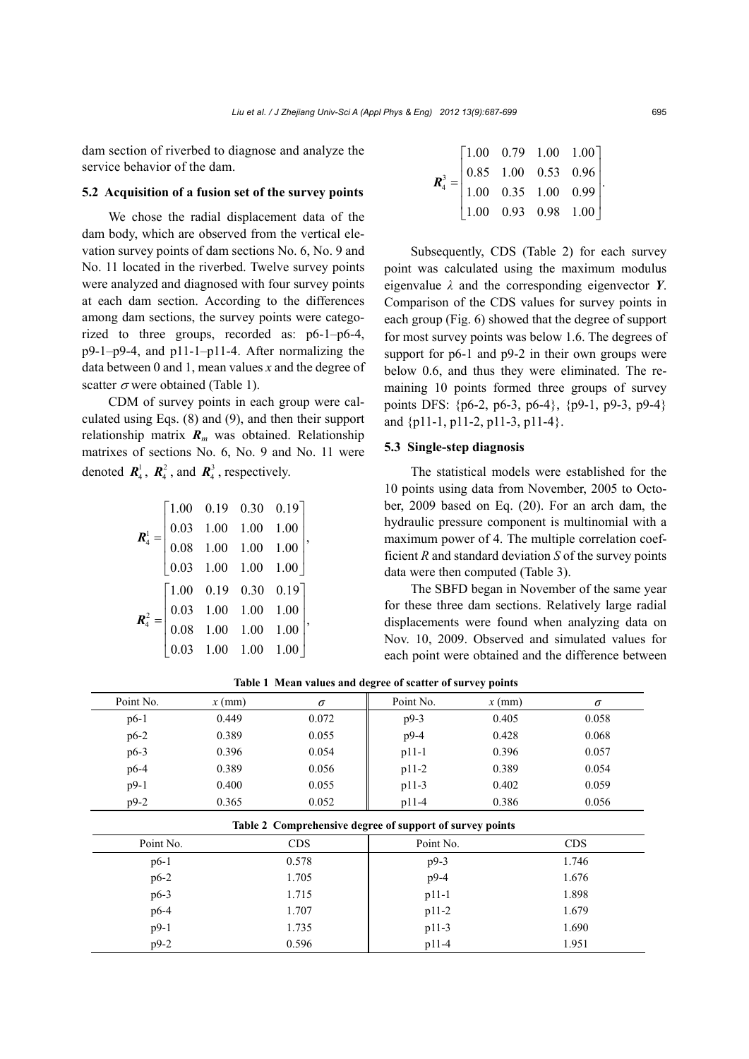dam section of riverbed to diagnose and analyze the service behavior of the dam.

#### **5.2 Acquisition of a fusion set of the survey points**

We chose the radial displacement data of the dam body, which are observed from the vertical elevation survey points of dam sections No. 6, No. 9 and No. 11 located in the riverbed. Twelve survey points were analyzed and diagnosed with four survey points at each dam section. According to the differences among dam sections, the survey points were categorized to three groups, recorded as: p6-1–p6-4, p9-1–p9-4, and p11-1–p11-4. After normalizing the data between 0 and 1, mean values *x* and the degree of scatter  $\sigma$  were obtained (Table 1).

CDM of survey points in each group were calculated using Eqs. (8) and (9), and then their support relationship matrix  $\mathbf{R}_m$  was obtained. Relationship matrixes of sections No. 6, No. 9 and No. 11 were denoted  $\mathbf{R}_4^1$ ,  $\mathbf{R}_4^2$ , and  $\mathbf{R}_4^3$ , respectively.

$$
\mathbf{R}_{4}^{1} = \begin{bmatrix} 1.00 & 0.19 & 0.30 & 0.19 \\ 0.03 & 1.00 & 1.00 & 1.00 \\ 0.08 & 1.00 & 1.00 & 1.00 \\ 0.03 & 1.00 & 1.00 & 1.00 \end{bmatrix},
$$

$$
\mathbf{R}_{4}^{2} = \begin{bmatrix} 1.00 & 0.19 & 0.30 & 0.19 \\ 0.03 & 1.00 & 1.00 & 1.00 \\ 0.08 & 1.00 & 1.00 & 1.00 \\ 0.03 & 1.00 & 1.00 & 1.00 \end{bmatrix},
$$

| $\boldsymbol{R}_{4}^{3} = \begin{bmatrix} 1.00 & 0.79 & 1.00 & 1.00 \\ 0.85 & 1.00 & 0.53 & 0.96 \\ 1.00 & 0.35 & 1.00 & 0.99 \\ 1.00 & 0.93 & 0.98 & 1.00 \end{bmatrix}$ |  |  |  |
|---------------------------------------------------------------------------------------------------------------------------------------------------------------------------|--|--|--|
|                                                                                                                                                                           |  |  |  |
|                                                                                                                                                                           |  |  |  |
|                                                                                                                                                                           |  |  |  |

Subsequently, CDS (Table 2) for each survey point was calculated using the maximum modulus eigenvalue *λ* and the corresponding eigenvector *Y*. Comparison of the CDS values for survey points in each group (Fig. 6) showed that the degree of support for most survey points was below 1.6. The degrees of support for p6-1 and p9-2 in their own groups were below 0.6, and thus they were eliminated. The remaining 10 points formed three groups of survey points DFS: {p6-2, p6-3, p6-4}, {p9-1, p9-3, p9-4} and {p11-1, p11-2, p11-3, p11-4}.

## **5.3 Single-step diagnosis**

The statistical models were established for the 10 points using data from November, 2005 to October, 2009 based on Eq. (20). For an arch dam, the hydraulic pressure component is multinomial with a maximum power of 4. The multiple correlation coefficient *R* and standard deviation *S* of the survey points data were then computed (Table 3).

The SBFD began in November of the same year for these three dam sections. Relatively large radial displacements were found when analyzing data on Nov. 10, 2009. Observed and simulated values for each point were obtained and the difference between

| Point No.                                                | $x$ (mm)   | $\sigma$ | Point No. | $x$ (mm)  | $\sigma$   |  |  |  |
|----------------------------------------------------------|------------|----------|-----------|-----------|------------|--|--|--|
| $p6-1$                                                   | 0.449      | 0.072    | p9-3      | 0.405     | 0.058      |  |  |  |
| $p6-2$                                                   | 0.389      | 0.055    | p9-4      | 0.428     | 0.068      |  |  |  |
| $p6-3$                                                   | 0.396      | 0.054    | $p11-1$   | 0.396     | 0.057      |  |  |  |
| $p6-4$                                                   | 0.389      | 0.056    | $p11-2$   | 0.389     | 0.054      |  |  |  |
| $p9-1$                                                   | 0.400      | 0.055    | $p11-3$   | 0.402     | 0.059      |  |  |  |
| $p9-2$                                                   | 0.365      | 0.052    | $p11-4$   | 0.386     | 0.056      |  |  |  |
| Table 2 Comprehensive degree of support of survey points |            |          |           |           |            |  |  |  |
| Point No.                                                | <b>CDS</b> |          |           | Point No. | <b>CDS</b> |  |  |  |
| $p6-1$                                                   | 0.578      |          | $p9-3$    |           | 1.746      |  |  |  |
| $p6-2$                                                   | 1.705      |          | $p9-4$    |           | 1.676      |  |  |  |
| $p6-3$                                                   | 1.715      |          | $p11-1$   |           | 1.898      |  |  |  |
| $p6-4$                                                   | 1.707      |          | $p11-2$   |           | 1.679      |  |  |  |
| $p9-1$                                                   |            | 1.735    |           |           | 1.690      |  |  |  |
| $p9-2$                                                   |            | 0.596    | $p11-4$   |           | 1.951      |  |  |  |

**Table 1 Mean values and degree of scatter of survey points**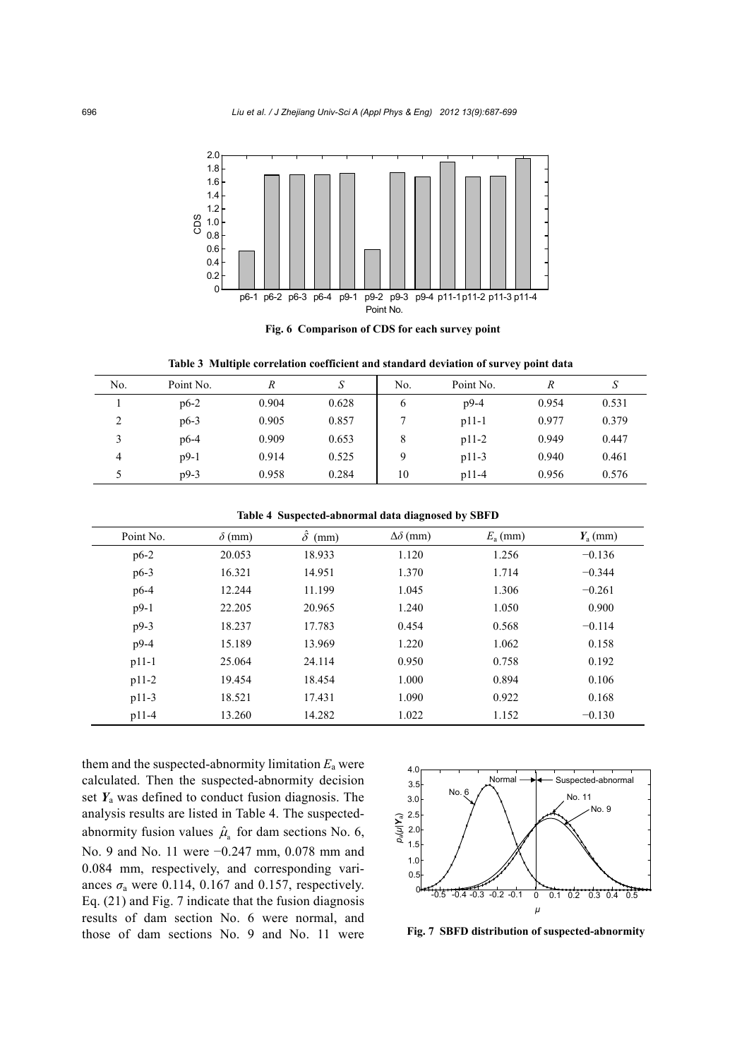

**Fig. 6 Comparison of CDS for each survey point** 

**Table 3 Multiple correlation coefficient and standard deviation of survey point data** 

| No.            | Point No. | R     | S     | No. | Point No. | $\boldsymbol{R}$ | د     |
|----------------|-----------|-------|-------|-----|-----------|------------------|-------|
|                | $p6-2$    | 0.904 | 0.628 | 6   | $p9-4$    | 0.954            | 0.531 |
| ↑<br>∠         | $p6-3$    | 0.905 | 0.857 |     | $p11-1$   | 0.977            | 0.379 |
|                | $p6-4$    | 0.909 | 0.653 | 8   | $p11-2$   | 0.949            | 0.447 |
| $\overline{4}$ | $p9-1$    | 0.914 | 0.525 | Q   | $p11-3$   | 0.940            | 0.461 |
|                | $p9-3$    | 0.958 | 0.284 | 10  | $p11-4$   | 0.956            | 0.576 |

**Table 4 Suspected-abnormal data diagnosed by SBFD**

| Point No. | $\delta$ (mm) | $\delta$<br>(mm) | $\Delta\delta$ (mm) | $E_{\rm a}$ (mm) | $Y_a$ (mm) |
|-----------|---------------|------------------|---------------------|------------------|------------|
| $p6-2$    | 20.053        | 18.933           | 1.120               | 1.256            | $-0.136$   |
| $p6-3$    | 16.321        | 14.951           | 1.370               | 1.714            | $-0.344$   |
| $p6-4$    | 12.244        | 11.199           | 1.045               | 1.306            | $-0.261$   |
| $p9-1$    | 22.205        | 20.965           | 1.240               | 1.050            | 0.900      |
| $p9-3$    | 18.237        | 17.783           | 0.454               | 0.568            | $-0.114$   |
| $p9-4$    | 15.189        | 13.969           | 1.220               | 1.062            | 0.158      |
| $p11-1$   | 25.064        | 24.114           | 0.950               | 0.758            | 0.192      |
| $p11-2$   | 19.454        | 18.454           | 1.000               | 0.894            | 0.106      |
| $p11-3$   | 18.521        | 17.431           | 1.090               | 0.922            | 0.168      |
| $p11-4$   | 13.260        | 14.282           | 1.022               | 1.152            | $-0.130$   |

them and the suspected-abnormity limitation  $E_a$  were calculated. Then the suspected-abnormity decision set *Y*a was defined to conduct fusion diagnosis. The analysis results are listed in Table 4. The suspectedabnormity fusion values  $\hat{\mu}$  for dam sections No. 6, No. 9 and No. 11 were −0.247 mm, 0.078 mm and 0.084 mm, respectively, and corresponding variances  $\sigma_a$  were 0.114, 0.167 and 0.157, respectively. Eq. (21) and Fig. 7 indicate that the fusion diagnosis results of dam section No. 6 were normal, and those of dam sections No. 9 and No. 11 were



**Fig. 7 SBFD distribution of suspected-abnormity**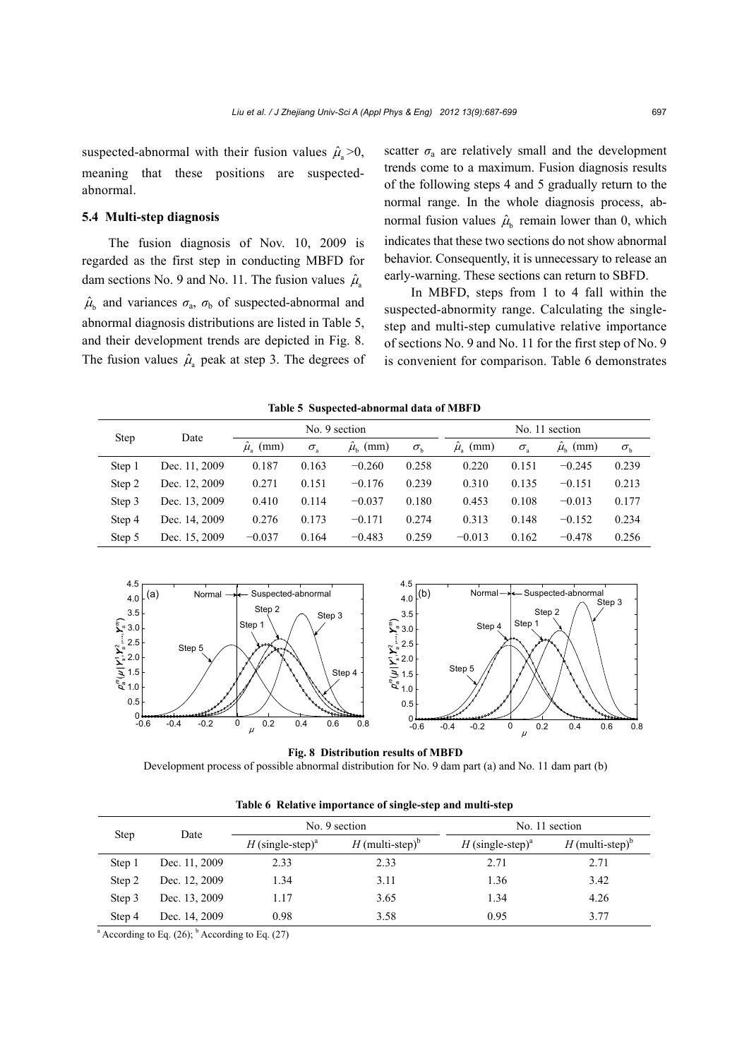suspected-abnormal with their fusion values  $\hat{\mu}_a > 0$ , meaning that these positions are suspectedabnormal.

# **5.4 Multi-step diagnosis**

The fusion diagnosis of Nov. 10, 2009 is regarded as the first step in conducting MBFD for dam sections No. 9 and No. 11. The fusion values  $\hat{\mu}_s$  $\hat{\mu}_{b}$  and variances  $\sigma_{a}$ ,  $\sigma_{b}$  of suspected-abnormal and abnormal diagnosis distributions are listed in Table 5, and their development trends are depicted in Fig. 8. The fusion values  $\hat{\mu}_a$  peak at step 3. The degrees of scatter  $\sigma_a$  are relatively small and the development trends come to a maximum. Fusion diagnosis results of the following steps 4 and 5 gradually return to the normal range. In the whole diagnosis process, abnormal fusion values  $\hat{\mu}_{h}$  remain lower than 0, which indicates that these two sections do not show abnormal behavior. Consequently, it is unnecessary to release an early-warning. These sections can return to SBFD.

In MBFD, steps from 1 to 4 fall within the suspected-abnormity range. Calculating the singlestep and multi-step cumulative relative importance of sections No. 9 and No. 11 for the first step of No. 9 is convenient for comparison. Table 6 demonstrates

**Table 5 Suspected-abnormal data of MBFD**

| <b>Step</b><br>Date |               |                  | No. 9 section    | No. 11 section       |                  |                    |                  |                    |                  |
|---------------------|---------------|------------------|------------------|----------------------|------------------|--------------------|------------------|--------------------|------------------|
|                     |               | $\hat{\mu}$ (mm) | $\sigma_{\rm a}$ | $\hat{\mu}_{h}$ (mm) | $\sigma_{\rm h}$ | $\mu_{\rm o}$ (mm) | $\sigma_{\rm a}$ | $\mu_{\rm b}$ (mm) | $\sigma_{\rm h}$ |
| Step 1              | Dec. 11, 2009 | 0.187            | 0.163            | $-0.260$             | 0.258            | 0.220              | 0.151            | $-0.245$           | 0.239            |
| Step 2              | Dec. 12, 2009 | 0.271            | 0.151            | $-0.176$             | 0.239            | 0.310              | 0.135            | $-0.151$           | 0.213            |
| Step 3              | Dec. 13, 2009 | 0.410            | 0.114            | $-0.037$             | 0.180            | 0.453              | 0.108            | $-0.013$           | 0.177            |
| Step 4              | Dec. 14, 2009 | 0.276            | 0.173            | $-0.171$             | 0.274            | 0.313              | 0.148            | $-0.152$           | 0.234            |
| Step 5              | Dec. 15, 2009 | $-0.037$         | 0.164            | $-0.483$             | 0.259            | $-0.013$           | 0.162            | $-0.478$           | 0.256            |



**Fig. 8 Distribution results of MBFD**  Development process of possible abnormal distribution for No. 9 dam part (a) and No. 11 dam part (b)

| <b>Step</b> | Date          |                              | No. 9 section               | No. 11 section               |                               |  |
|-------------|---------------|------------------------------|-----------------------------|------------------------------|-------------------------------|--|
|             |               | H (single-step) <sup>a</sup> | H (multi-step) <sup>b</sup> | H (single-step) <sup>a</sup> | $H$ (multi-step) <sup>b</sup> |  |
| Step 1      | Dec. 11, 2009 | 2.33                         | 2.33                        | 2.71                         | 2.71                          |  |
| Step 2      | Dec. 12, 2009 | 1.34                         | 3.11                        | 1.36                         | 3.42                          |  |
| Step 3      | Dec. 13, 2009 | 1.17                         | 3.65                        | 1.34                         | 4.26                          |  |
| Step 4      | Dec. 14, 2009 | 0.98                         | 3.58                        | 0.95                         | 3.77                          |  |

**Table 6 Relative importance of single-step and multi-step**

<sup>a</sup> According to Eq.  $(26)$ ; <sup>b</sup> According to Eq.  $(27)$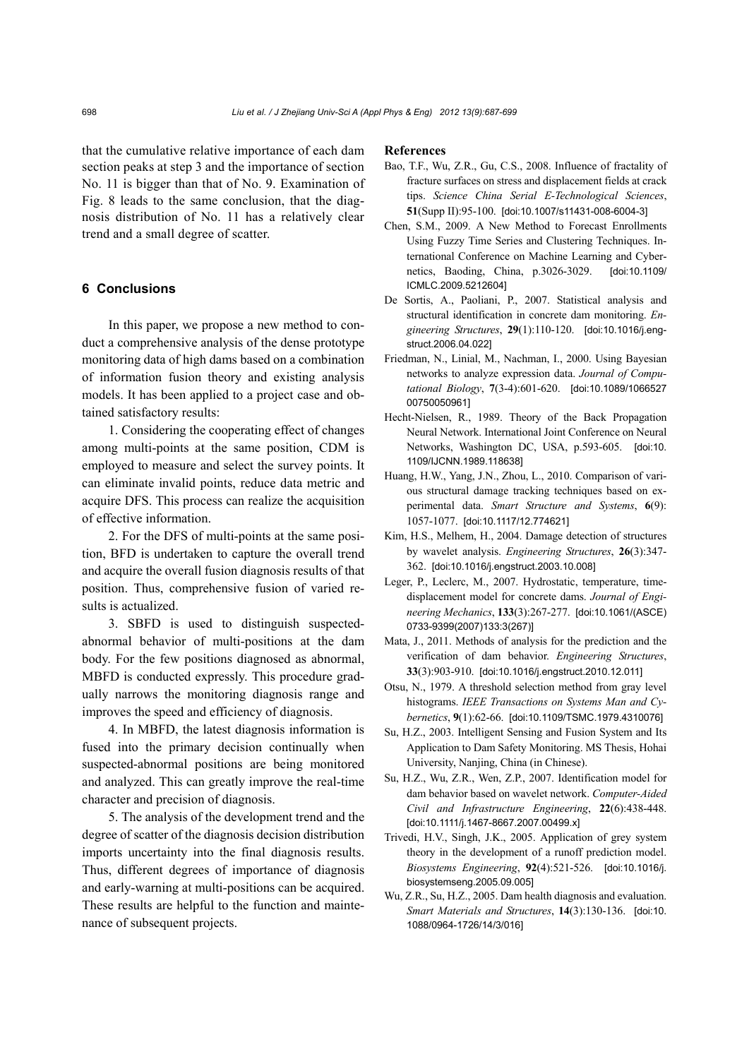that the cumulative relative importance of each dam section peaks at step 3 and the importance of section No. 11 is bigger than that of No. 9. Examination of Fig. 8 leads to the same conclusion, that the diagnosis distribution of No. 11 has a relatively clear trend and a small degree of scatter.

# **6 Conclusions**

In this paper, we propose a new method to conduct a comprehensive analysis of the dense prototype monitoring data of high dams based on a combination of information fusion theory and existing analysis models. It has been applied to a project case and obtained satisfactory results:

1. Considering the cooperating effect of changes among multi-points at the same position, CDM is employed to measure and select the survey points. It can eliminate invalid points, reduce data metric and acquire DFS. This process can realize the acquisition of effective information.

2. For the DFS of multi-points at the same position, BFD is undertaken to capture the overall trend and acquire the overall fusion diagnosis results of that position. Thus, comprehensive fusion of varied results is actualized.

3. SBFD is used to distinguish suspectedabnormal behavior of multi-positions at the dam body. For the few positions diagnosed as abnormal, MBFD is conducted expressly. This procedure gradually narrows the monitoring diagnosis range and improves the speed and efficiency of diagnosis.

4. In MBFD, the latest diagnosis information is fused into the primary decision continually when suspected-abnormal positions are being monitored and analyzed. This can greatly improve the real-time character and precision of diagnosis.

5. The analysis of the development trend and the degree of scatter of the diagnosis decision distribution imports uncertainty into the final diagnosis results. Thus, different degrees of importance of diagnosis and early-warning at multi-positions can be acquired. These results are helpful to the function and maintenance of subsequent projects.

#### **References**

- Bao, T.F., Wu, Z.R., Gu, C.S., 2008. Influence of fractality of fracture surfaces on stress and displacement fields at crack tips. *Science China Serial E-Technological Sciences*, **51**(Supp II):95-100. [doi:10.1007/s11431-008-6004-3]
- Chen, S.M., 2009. A New Method to Forecast Enrollments Using Fuzzy Time Series and Clustering Techniques. International Conference on Machine Learning and Cybernetics, Baoding, China, p.3026-3029. [doi:10.1109/ ICMLC.2009.5212604]
- De Sortis, A., Paoliani, P., 2007. Statistical analysis and structural identification in concrete dam monitoring. *Engineering Structures*, **29**(1):110-120. [doi:10.1016/j.engstruct.2006.04.022]
- Friedman, N., Linial, M., Nachman, I., 2000. Using Bayesian networks to analyze expression data. *Journal of Computational Biology*, **7**(3-4):601-620. [doi:10.1089/1066527 00750050961]
- Hecht-Nielsen, R., 1989. Theory of the Back Propagation Neural Network. International Joint Conference on Neural Networks, Washington DC, USA, p.593-605. [doi:10. 1109/IJCNN.1989.118638]
- Huang, H.W., Yang, J.N., Zhou, L., 2010. Comparison of various structural damage tracking techniques based on experimental data. *Smart Structure and Systems*, **6**(9): 1057-1077. [doi:10.1117/12.774621]
- Kim, H.S., Melhem, H., 2004. Damage detection of structures by wavelet analysis. *Engineering Structures*, **26**(3):347- 362. [doi:10.1016/j.engstruct.2003.10.008]
- Leger, P., Leclerc, M., 2007. Hydrostatic, temperature, timedisplacement model for concrete dams. *Journal of Engineering Mechanics*, **133**(3):267-277. [doi:10.1061/(ASCE) 0733-9399(2007)133:3(267)]
- Mata, J., 2011. Methods of analysis for the prediction and the verification of dam behavior. *Engineering Structures*, **33**(3):903-910. [doi:10.1016/j.engstruct.2010.12.011]
- Otsu, N., 1979. A threshold selection method from gray level histograms. *IEEE Transactions on Systems Man and Cybernetics*, **9**(1):62-66. [doi:10.1109/TSMC.1979.4310076]
- Su, H.Z., 2003. Intelligent Sensing and Fusion System and Its Application to Dam Safety Monitoring. MS Thesis, Hohai University, Nanjing, China (in Chinese).
- Su, H.Z., Wu, Z.R., Wen, Z.P., 2007. Identification model for dam behavior based on wavelet network. *Computer-Aided Civil and Infrastructure Engineering*, **22**(6):438-448. [doi:10.1111/j.1467-8667.2007.00499.x]
- Trivedi, H.V., Singh, J.K., 2005. Application of grey system theory in the development of a runoff prediction model. *Biosystems Engineering*, **92**(4):521-526. [doi:10.1016/j. biosystemseng.2005.09.005]
- Wu, Z.R., Su, H.Z., 2005. Dam health diagnosis and evaluation. *Smart Materials and Structures*, **14**(3):130-136. [doi:10. 1088/0964-1726/14/3/016]